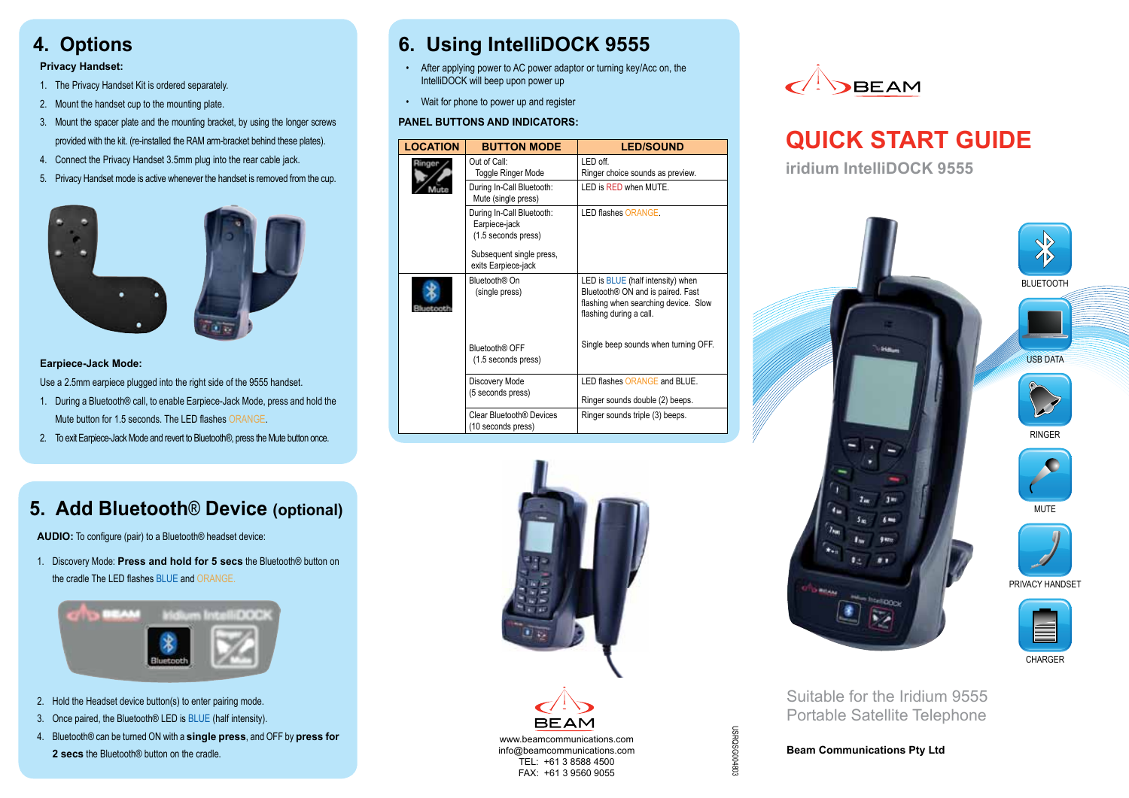# **4. Options**

### **Privacy Handset:**

- 1. The Privacy Handset Kit is ordered separately.
- 2. Mount the handset cup to the mounting plate.
- 3. Mount the spacer plate and the mounting bracket, by using the longer screws provided with the kit. (re-installed the RAM arm-bracket behind these plates).
- 4. Connect the Privacy Handset 3.5mm plug into the rear cable jack.
- 5. Privacy Handset mode is active whenever the handset is removed from the cup.



### **Earpiece-Jack Mode:**

Use a 2.5mm earpiece plugged into the right side of the 9555 handset.

- 1. During a Bluetooth® call, to enable Earpiece-Jack Mode, press and hold the Mute button for 1.5 seconds. The LED flashes ORANGE
- 2. To exit Earpiece-Jack Mode and revert to Bluetooth®, press the Mute button once.

# **5. Add Bluetooth**® **Device (optional)**

**AUDIO:** To configure (pair) to a Bluetooth® headset device:

1. Discovery Mode: Press and hold for 5 secs the Bluetooth® button on the cradle The LED flashes BLUE and ORANGE.



- 2. Hold the Headset device button(s) to enter pairing mode.
- 3. Once paired, the Bluetooth® LED is BLUE (half intensity).
- 4. Bluetooth® can be turned ON with a **single press**, and OFF by **press for 2 secs** the Bluetooth® button on the cradle.

# **6. Using IntelliDOCK 9555**

- • After applying power to AC power adaptor or turning key/Acc on, the IntelliDOCK will beep upon power up
- Wait for phone to power up and register

#### **PANEL BUTTONS AND INDICATORS:**

| <b>LOCATION</b> | <b>BUTTON MODE</b>                                                | <b>LED/SOUND</b>                                                                                                                                             |
|-----------------|-------------------------------------------------------------------|--------------------------------------------------------------------------------------------------------------------------------------------------------------|
|                 | Out of Call:<br>Toggle Ringer Mode                                | I FD off<br>Ringer choice sounds as preview.                                                                                                                 |
|                 | During In-Call Bluetooth:<br>Mute (single press)                  | LED is RED when MUTE.                                                                                                                                        |
|                 | During In-Call Bluetooth:<br>Earpiece-jack<br>(1.5 seconds press) | LED flashes ORANGE.                                                                                                                                          |
|                 | Subsequent single press,<br>exits Earpiece-jack                   |                                                                                                                                                              |
|                 | Bluetooth® On<br>(single press)                                   | LED is <b>BLUE</b> (half intensity) when<br>Bluetooth <sup>®</sup> ON and is paired. Fast<br>flashing when searching device. Slow<br>flashing during a call. |
|                 | Bluetooth® OFF<br>(1.5 seconds press)                             | Single beep sounds when turning OFF.                                                                                                                         |
|                 | Discovery Mode<br>(5 seconds press)                               | LED flashes ORANGE and BLUE.                                                                                                                                 |
|                 |                                                                   | Ringer sounds double (2) beeps.                                                                                                                              |
|                 | Clear Bluetooth <sup>®</sup> Devices<br>(10 seconds press)        | Ringer sounds triple (3) beeps.                                                                                                                              |





# **QUICK START GUIDE**

**iridium IntelliDOCK 9555**



Portable Satellite Telephone

**Beam Communications Pty Ltd** 

USRQSG004803

098600980360